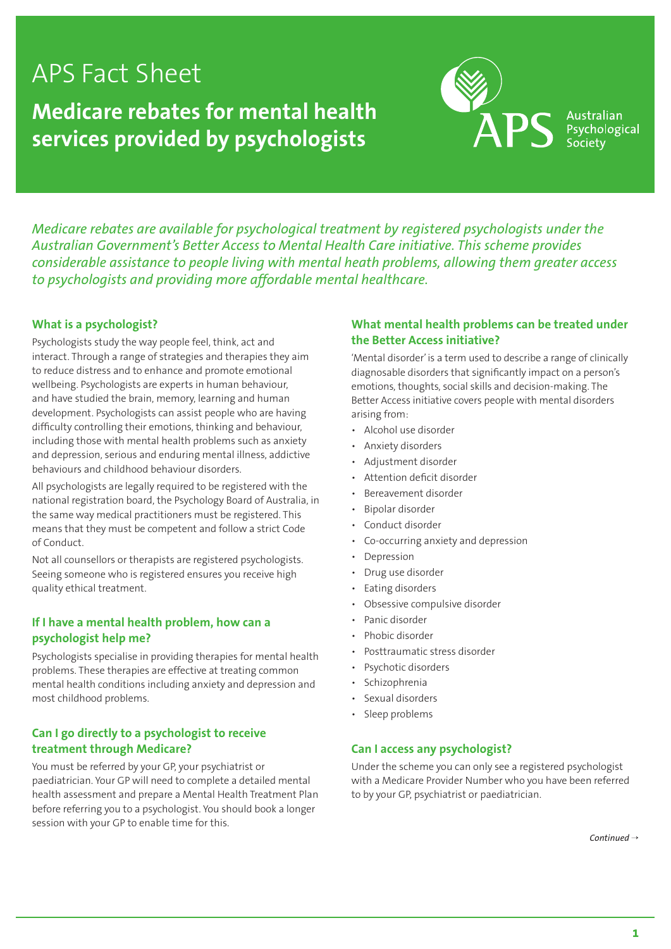# APS Fact Sheet

**Medicare rebates for mental health services provided by psychologists**



Australian Psychological Societv

*Medicare rebates are available for psychological treatment by registered psychologists under the Australian Government's Better Access to Mental Health Care initiative. This scheme provides considerable assistance to people living with mental heath problems, allowing them greater access to psychologists and providing more affordable mental healthcare.* 

### **What is a psychologist?**

Psychologists study the way people feel, think, act and interact. Through a range of strategies and therapies they aim to reduce distress and to enhance and promote emotional wellbeing. Psychologists are experts in human behaviour, and have studied the brain, memory, learning and human development. Psychologists can assist people who are having difficulty controlling their emotions, thinking and behaviour, including those with mental health problems such as anxiety and depression, serious and enduring mental illness, addictive behaviours and childhood behaviour disorders.

All psychologists are legally required to be registered with the national registration board, the Psychology Board of Australia, in the same way medical practitioners must be registered. This means that they must be competent and follow a strict Code of Conduct.

Not all counsellors or therapists are registered psychologists. Seeing someone who is registered ensures you receive high quality ethical treatment.

### **If I have a mental health problem, how can a psychologist help me?**

Psychologists specialise in providing therapies for mental health problems. These therapies are effective at treating common mental health conditions including anxiety and depression and most childhood problems.

## **Can I go directly to a psychologist to receive treatment through Medicare?**

You must be referred by your GP, your psychiatrist or paediatrician. Your GP will need to complete a detailed mental health assessment and prepare a Mental Health Treatment Plan before referring you to a psychologist. You should book a longer session with your GP to enable time for this.

## **What mental health problems can be treated under the Better Access initiative?**

'Mental disorder' is a term used to describe a range of clinically diagnosable disorders that significantly impact on a person's emotions, thoughts, social skills and decision-making. The Better Access initiative covers people with mental disorders arising from:

- Alcohol use disorder
- Anxiety disorders
- Adjustment disorder
- Attention deficit disorder
- Bereavement disorder
- Bipolar disorder
- Conduct disorder
- Co-occurring anxiety and depression
- **Depression**
- Drug use disorder
- Eating disorders
- Obsessive compulsive disorder
- Panic disorder
- Phobic disorder
- Posttraumatic stress disorder
- Psychotic disorders
- **Schizophrenia**
- Sexual disorders
- Sleep problems

#### **Can I access any psychologist?**

Under the scheme you can only see a registered psychologist with a Medicare Provider Number who you have been referred to by your GP, psychiatrist or paediatrician.

*Continued* →